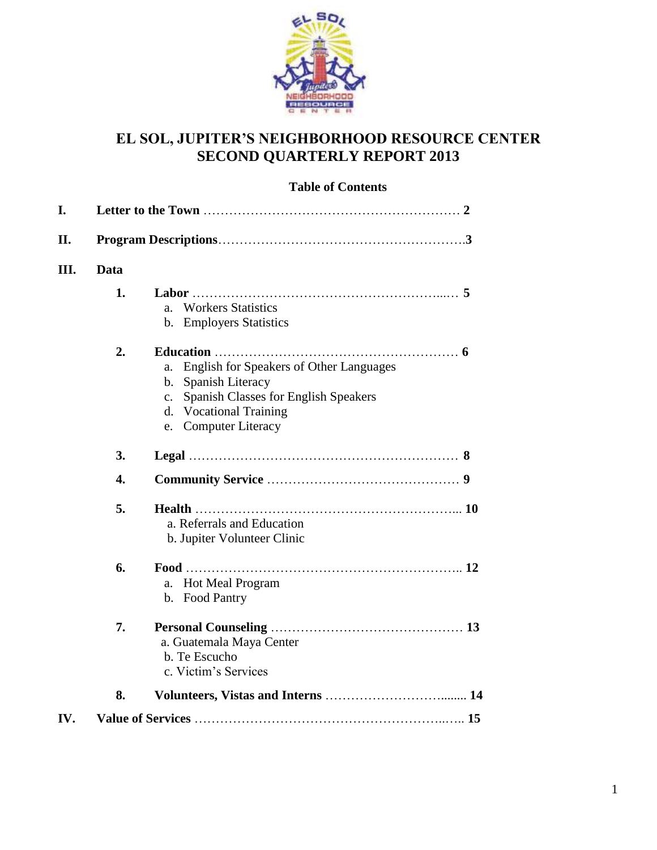

#### **EL SOL, JUPITER'S NEIGHBORHOOD RESOURCE CENTER SECOND QUARTERLY REPORT 2013**

#### **Table of Contents**

| Data             |                                                        |
|------------------|--------------------------------------------------------|
| 1.               |                                                        |
|                  | <b>Workers Statistics</b><br>a.                        |
|                  | <b>Employers Statistics</b><br>$\mathbf{b}$ .          |
| 2.               |                                                        |
|                  | English for Speakers of Other Languages<br>a.          |
|                  | Spanish Literacy<br>$\mathbf b$ .                      |
|                  | Spanish Classes for English Speakers<br>$\mathbf{c}$ . |
|                  | <b>Vocational Training</b><br>d.                       |
|                  | <b>Computer Literacy</b><br>e.                         |
| 3.               |                                                        |
| $\overline{4}$ . |                                                        |
| 5.               | a. Referrals and Education                             |
|                  | b. Jupiter Volunteer Clinic                            |
| 6.               |                                                        |
|                  | <b>Hot Meal Program</b><br>a.                          |
|                  | b. Food Pantry                                         |
| 7.               |                                                        |
|                  | a. Guatemala Maya Center                               |
|                  | b. Te Escucho                                          |
|                  | c. Victim's Services                                   |
| 8.               |                                                        |
|                  |                                                        |
|                  |                                                        |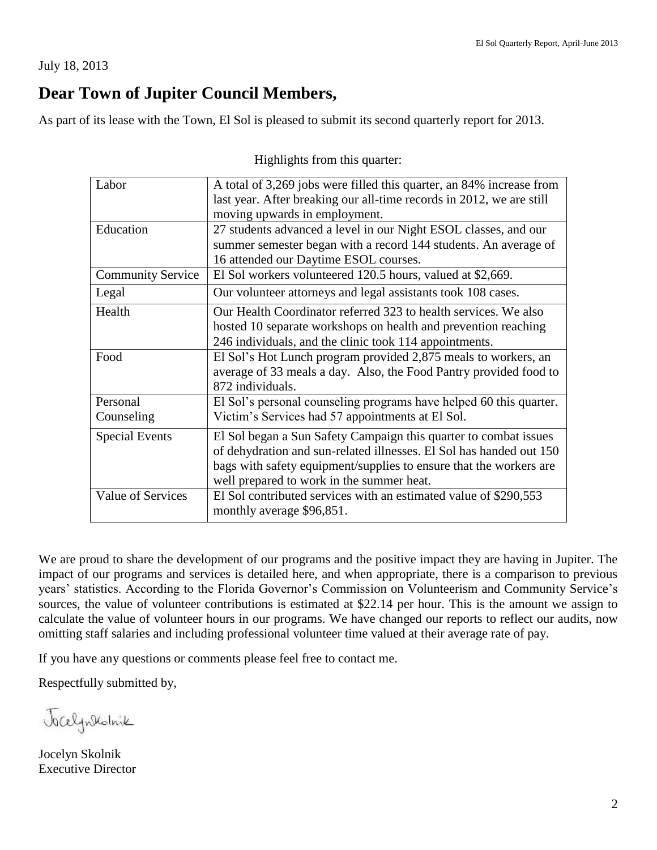July 18, 2013

## **Dear Town of Jupiter Council Members,**

As part of its lease with the Town, El Sol is pleased to submit its second quarterly report for 2013.

| Labor                    | A total of 3,269 jobs were filled this quarter, an 84% increase from |
|--------------------------|----------------------------------------------------------------------|
|                          | last year. After breaking our all-time records in 2012, we are still |
|                          | moving upwards in employment.                                        |
| Education                | 27 students advanced a level in our Night ESOL classes, and our      |
|                          | summer semester began with a record 144 students. An average of      |
|                          | 16 attended our Daytime ESOL courses.                                |
| <b>Community Service</b> | El Sol workers volunteered 120.5 hours, valued at \$2,669.           |
| Legal                    | Our volunteer attorneys and legal assistants took 108 cases.         |
| Health                   | Our Health Coordinator referred 323 to health services. We also      |
|                          | hosted 10 separate workshops on health and prevention reaching       |
|                          | 246 individuals, and the clinic took 114 appointments.               |
| Food                     | El Sol's Hot Lunch program provided 2,875 meals to workers, an       |
|                          | average of 33 meals a day. Also, the Food Pantry provided food to    |
|                          | 872 individuals.                                                     |
| Personal                 | El Sol's personal counseling programs have helped 60 this quarter.   |
| Counseling               | Victim's Services had 57 appointments at El Sol.                     |
| <b>Special Events</b>    | El Sol began a Sun Safety Campaign this quarter to combat issues     |
|                          | of dehydration and sun-related illnesses. El Sol has handed out 150  |
|                          | bags with safety equipment/supplies to ensure that the workers are   |
|                          | well prepared to work in the summer heat.                            |
| Value of Services        | El Sol contributed services with an estimated value of \$290,553     |
|                          | monthly average \$96,851.                                            |

Highlights from this quarter:

We are proud to share the development of our programs and the positive impact they are having in Jupiter. The impact of our programs and services is detailed here, and when appropriate, there is a comparison to previous years' statistics. According to the Florida Governor's Commission on Volunteerism and Community Service's sources, the value of volunteer contributions is estimated at \$22.14 per hour. This is the amount we assign to calculate the value of volunteer hours in our programs. We have changed our reports to reflect our audits, now omitting staff salaries and including professional volunteer time valued at their average rate of pay.

If you have any questions or comments please feel free to contact me.

Respectfully submitted by,

Jackynkolnik

Jocelyn Skolnik Executive Director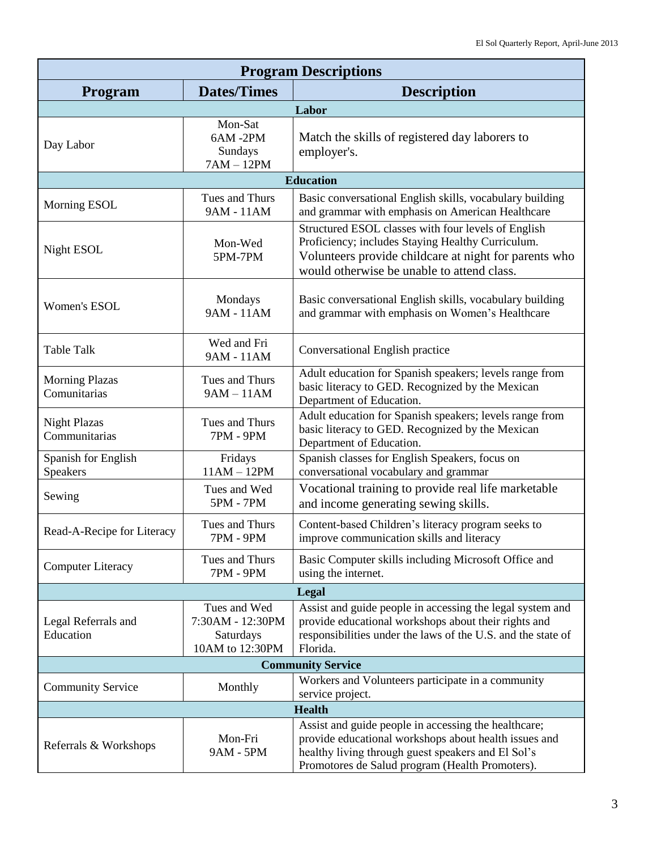| <b>Program Descriptions</b>           |                                                                  |                                                                                                                                                                                                                        |  |  |  |
|---------------------------------------|------------------------------------------------------------------|------------------------------------------------------------------------------------------------------------------------------------------------------------------------------------------------------------------------|--|--|--|
| <b>Program</b>                        | <b>Dates/Times</b>                                               | <b>Description</b>                                                                                                                                                                                                     |  |  |  |
|                                       |                                                                  | Labor                                                                                                                                                                                                                  |  |  |  |
| Day Labor                             | Mon-Sat<br>6AM-2PM<br>Sundays<br>$7AM - 12PM$                    | Match the skills of registered day laborers to<br>employer's.                                                                                                                                                          |  |  |  |
|                                       |                                                                  | <b>Education</b>                                                                                                                                                                                                       |  |  |  |
| Morning ESOL                          | Tues and Thurs<br>9AM - 11AM                                     | Basic conversational English skills, vocabulary building<br>and grammar with emphasis on American Healthcare                                                                                                           |  |  |  |
| Night ESOL                            | Mon-Wed<br>5PM-7PM                                               | Structured ESOL classes with four levels of English<br>Proficiency; includes Staying Healthy Curriculum.<br>Volunteers provide childcare at night for parents who<br>would otherwise be unable to attend class.        |  |  |  |
| <b>Women's ESOL</b>                   | Mondays<br>9AM - 11AM                                            | Basic conversational English skills, vocabulary building<br>and grammar with emphasis on Women's Healthcare                                                                                                            |  |  |  |
| <b>Table Talk</b>                     | Wed and Fri<br>9AM - 11AM                                        | Conversational English practice                                                                                                                                                                                        |  |  |  |
| <b>Morning Plazas</b><br>Comunitarias | Tues and Thurs<br>$9AM - 11AM$                                   | Adult education for Spanish speakers; levels range from<br>basic literacy to GED. Recognized by the Mexican<br>Department of Education.                                                                                |  |  |  |
| <b>Night Plazas</b><br>Communitarias  | Tues and Thurs<br><b>7PM - 9PM</b>                               | Adult education for Spanish speakers; levels range from<br>basic literacy to GED. Recognized by the Mexican<br>Department of Education.                                                                                |  |  |  |
| Spanish for English<br>Speakers       | Fridays<br>$11AM - 12PM$                                         | Spanish classes for English Speakers, focus on<br>conversational vocabulary and grammar                                                                                                                                |  |  |  |
| Sewing                                | Tues and Wed<br>5PM - 7PM                                        | Vocational training to provide real life marketable<br>and income generating sewing skills.                                                                                                                            |  |  |  |
| Read-A-Recipe for Literacy            | Tues and Thurs<br><b>7PM - 9PM</b>                               | Content-based Children's literacy program seeks to<br>improve communication skills and literacy                                                                                                                        |  |  |  |
| <b>Computer Literacy</b>              | Tues and Thurs<br>7PM - 9PM                                      | Basic Computer skills including Microsoft Office and<br>using the internet.                                                                                                                                            |  |  |  |
|                                       |                                                                  | <b>Legal</b>                                                                                                                                                                                                           |  |  |  |
| Legal Referrals and<br>Education      | Tues and Wed<br>7:30AM - 12:30PM<br>Saturdays<br>10AM to 12:30PM | Assist and guide people in accessing the legal system and<br>provide educational workshops about their rights and<br>responsibilities under the laws of the U.S. and the state of<br>Florida.                          |  |  |  |
|                                       |                                                                  | <b>Community Service</b>                                                                                                                                                                                               |  |  |  |
| <b>Community Service</b>              | Monthly                                                          | Workers and Volunteers participate in a community<br>service project.                                                                                                                                                  |  |  |  |
|                                       |                                                                  | <b>Health</b>                                                                                                                                                                                                          |  |  |  |
| Referrals & Workshops                 | Mon-Fri<br>9AM - 5PM                                             | Assist and guide people in accessing the healthcare;<br>provide educational workshops about health issues and<br>healthy living through guest speakers and El Sol's<br>Promotores de Salud program (Health Promoters). |  |  |  |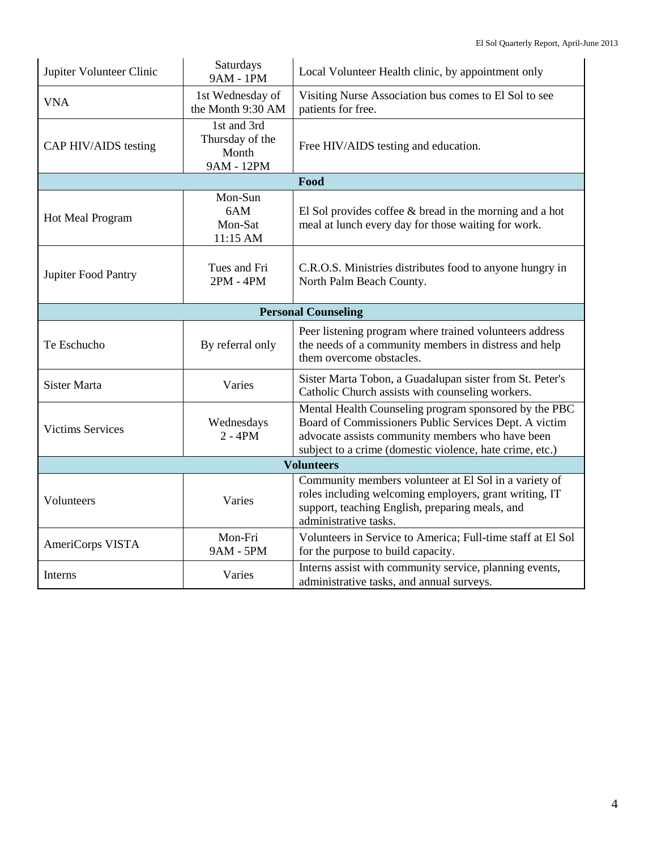| Jupiter Volunteer Clinic                           | Saturdays<br>9AM - 1PM                                | Local Volunteer Health clinic, by appointment only                                                                                                                                                                             |
|----------------------------------------------------|-------------------------------------------------------|--------------------------------------------------------------------------------------------------------------------------------------------------------------------------------------------------------------------------------|
| <b>VNA</b>                                         | 1st Wednesday of<br>the Month 9:30 AM                 | Visiting Nurse Association bus comes to El Sol to see<br>patients for free.                                                                                                                                                    |
| CAP HIV/AIDS testing                               | 1st and 3rd<br>Thursday of the<br>Month<br>9AM - 12PM | Free HIV/AIDS testing and education.                                                                                                                                                                                           |
|                                                    |                                                       | Food                                                                                                                                                                                                                           |
| Hot Meal Program                                   | Mon-Sun<br>6AM<br>Mon-Sat<br>11:15 AM                 | El Sol provides coffee $\&$ bread in the morning and a hot<br>meal at lunch every day for those waiting for work.                                                                                                              |
| Jupiter Food Pantry                                | Tues and Fri<br>$2PM - 4PM$                           | C.R.O.S. Ministries distributes food to anyone hungry in<br>North Palm Beach County.                                                                                                                                           |
|                                                    |                                                       | <b>Personal Counseling</b>                                                                                                                                                                                                     |
| Te Eschucho                                        | By referral only                                      | Peer listening program where trained volunteers address<br>the needs of a community members in distress and help<br>them overcome obstacles.                                                                                   |
| <b>Sister Marta</b>                                | Varies                                                | Sister Marta Tobon, a Guadalupan sister from St. Peter's<br>Catholic Church assists with counseling workers.                                                                                                                   |
| Wednesdays<br><b>Victims Services</b><br>$2 - 4PM$ |                                                       | Mental Health Counseling program sponsored by the PBC<br>Board of Commissioners Public Services Dept. A victim<br>advocate assists community members who have been<br>subject to a crime (domestic violence, hate crime, etc.) |
|                                                    |                                                       | <b>Volunteers</b>                                                                                                                                                                                                              |
| Volunteers                                         | Varies                                                | Community members volunteer at El Sol in a variety of<br>roles including welcoming employers, grant writing, IT<br>support, teaching English, preparing meals, and<br>administrative tasks.                                    |
| AmeriCorps VISTA                                   | Mon-Fri<br>9AM - 5PM                                  | Volunteers in Service to America; Full-time staff at El Sol<br>for the purpose to build capacity.                                                                                                                              |
| Interns                                            | Varies                                                | Interns assist with community service, planning events,<br>administrative tasks, and annual surveys.                                                                                                                           |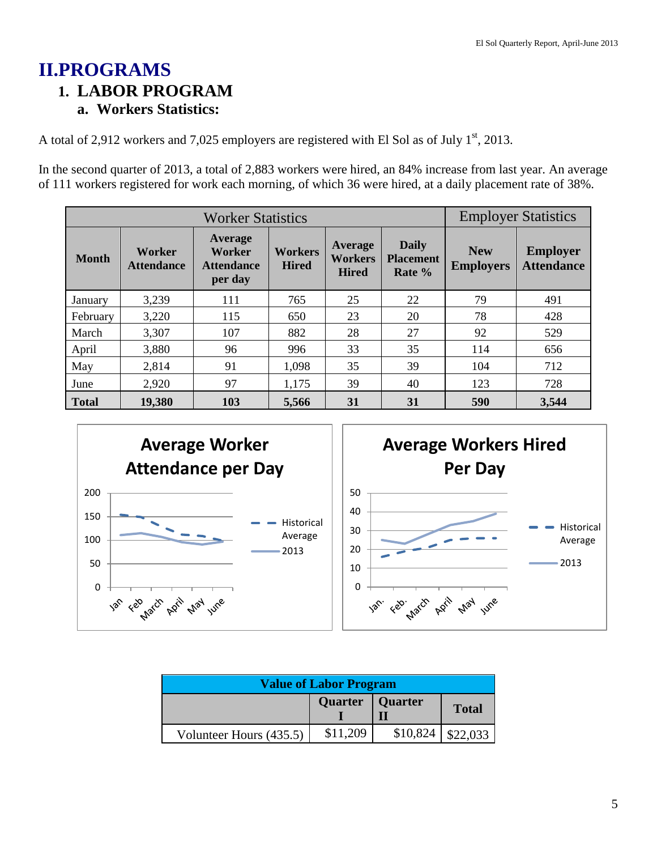### **II.PROGRAMS 1. LABOR PROGRAM a. Workers Statistics:**

A total of 2,912 workers and 7,025 employers are registered with El Sol as of July  $1<sup>st</sup>$ , 2013.

In the second quarter of 2013, a total of 2,883 workers were hired, an 84% increase from last year. An average of 111 workers registered for work each morning, of which 36 were hired, at a daily placement rate of 38%.

| <b>Worker Statistics</b> |                             |                                                   |                         |                                    |                                            | <b>Employer Statistics</b>     |                                      |
|--------------------------|-----------------------------|---------------------------------------------------|-------------------------|------------------------------------|--------------------------------------------|--------------------------------|--------------------------------------|
| <b>Month</b>             | Worker<br><b>Attendance</b> | Average<br>Worker<br><b>Attendance</b><br>per day | Workers<br><b>Hired</b> | Average<br>Workers<br><b>Hired</b> | <b>Daily</b><br><b>Placement</b><br>Rate % | <b>New</b><br><b>Employers</b> | <b>Employer</b><br><b>Attendance</b> |
| January                  | 3,239                       | 111                                               | 765                     | 25                                 | 22                                         | 79                             | 491                                  |
| February                 | 3,220                       | 115                                               | 650                     | 23                                 | 20                                         | 78                             | 428                                  |
| March                    | 3,307                       | 107                                               | 882                     | 28                                 | 27                                         | 92                             | 529                                  |
| April                    | 3,880                       | 96                                                | 996                     | 33                                 | 35                                         | 114                            | 656                                  |
| May                      | 2,814                       | 91                                                | 1,098                   | 35                                 | 39                                         | 104                            | 712                                  |
| June                     | 2,920                       | 97                                                | 1,175                   | 39                                 | 40                                         | 123                            | 728                                  |
| <b>Total</b>             | 19,380                      | 103                                               | 5,566                   | 31                                 | 31                                         | 590                            | 3,544                                |



| <b>Value of Labor Program</b> |                   |          |              |  |
|-------------------------------|-------------------|----------|--------------|--|
|                               | Quarter   Quarter |          | <b>Total</b> |  |
| Volunteer Hours (435.5)       | \$11,209          | \$10,824 | \$22,033     |  |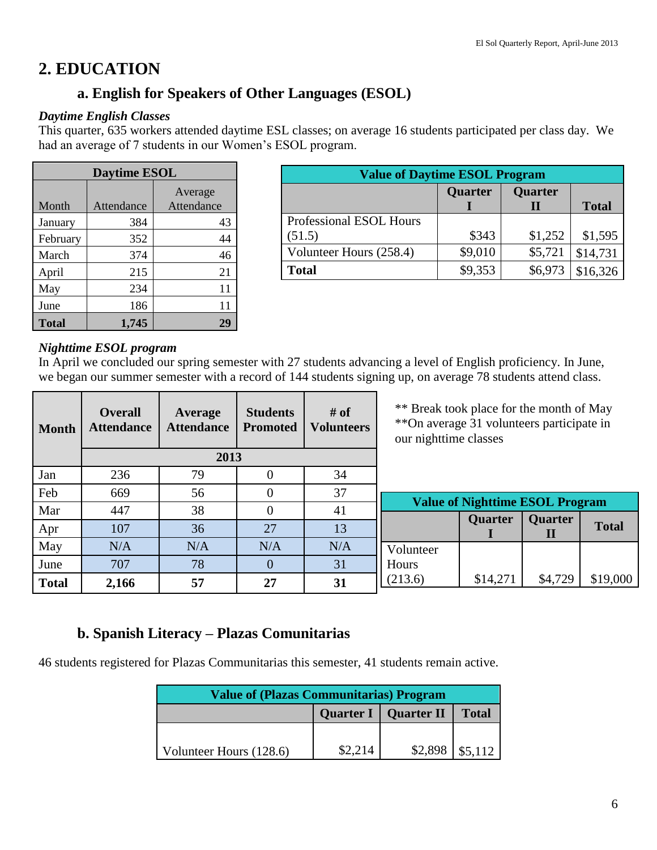## **2. EDUCATION**

## **a. English for Speakers of Other Languages (ESOL)**

#### *Daytime English Classes*

This quarter, 635 workers attended daytime ESL classes; on average 16 students participated per class day. We had an average of 7 students in our Women's ESOL program.

| Daytime ESOL |            |                       |  |  |
|--------------|------------|-----------------------|--|--|
| Month        | Attendance | Average<br>Attendance |  |  |
| January      | 384        | 43                    |  |  |
| February     | 352        | 44                    |  |  |
| March        | 374        | 46                    |  |  |
| April        | 215        | 21                    |  |  |
| May          | 234        | 11                    |  |  |
| June         | 186        | 11                    |  |  |
| <b>Total</b> | 1,745      | 29                    |  |  |

| <b>Value of Daytime ESOL Program</b> |         |         |              |  |  |
|--------------------------------------|---------|---------|--------------|--|--|
| Quarter<br>Quarter                   |         |         |              |  |  |
| Professional ESOL Hours              |         |         | <b>Total</b> |  |  |
| (51.5)                               | \$343   | \$1,252 | \$1,595      |  |  |
| Volunteer Hours (258.4)              | \$9,010 | \$5,721 | \$14,731     |  |  |
| <b>Total</b>                         | \$9,353 | \$6.973 | \$16,326     |  |  |

#### *Nighttime ESOL program*

In April we concluded our spring semester with 27 students advancing a level of English proficiency. In June, we began our summer semester with a record of 144 students signing up, on average 78 students attend class.

| <b>Month</b> | <b>Overall</b><br><b>Attendance</b> | Average<br><b>Attendance</b> | <b>Students</b><br><b>Promoted</b> | # of<br><b>Volunteers</b> | ** Break took place for the month of May<br>**On average 31 volunteers participate in<br>our nighttime classes |                                        |                     |              |
|--------------|-------------------------------------|------------------------------|------------------------------------|---------------------------|----------------------------------------------------------------------------------------------------------------|----------------------------------------|---------------------|--------------|
|              |                                     | 2013                         |                                    |                           |                                                                                                                |                                        |                     |              |
| Jan          | 236                                 | 79                           |                                    | 34                        |                                                                                                                |                                        |                     |              |
| Feb          | 669                                 | 56                           |                                    | 37                        |                                                                                                                |                                        |                     |              |
| Mar          | 447                                 | 38                           |                                    | 41                        |                                                                                                                | <b>Value of Nighttime ESOL Program</b> |                     |              |
| Apr          | 107                                 | 36                           | 27                                 | 13                        |                                                                                                                | <b>Quarter</b>                         | <b>Quarter</b><br>П | <b>Total</b> |
| May          | N/A                                 | N/A                          | N/A                                | N/A                       | Volunteer                                                                                                      |                                        |                     |              |
| June         | 707                                 | 78                           | $\Omega$                           | 31                        | Hours                                                                                                          |                                        |                     |              |
| <b>Total</b> | 2,166                               | 57                           | 27                                 | 31                        | (213.6)                                                                                                        | \$14,271                               | \$4,729             | \$19,000     |

### **b. Spanish Literacy – Plazas Comunitarias**

46 students registered for Plazas Communitarias this semester, 41 students remain active.

| <b>Value of (Plazas Communitarias) Program</b> |         |         |         |  |
|------------------------------------------------|---------|---------|---------|--|
| Quarter I   Quarter II   Total                 |         |         |         |  |
|                                                |         |         |         |  |
| Volunteer Hours (128.6)                        | \$2,214 | \$2,898 | \$5.112 |  |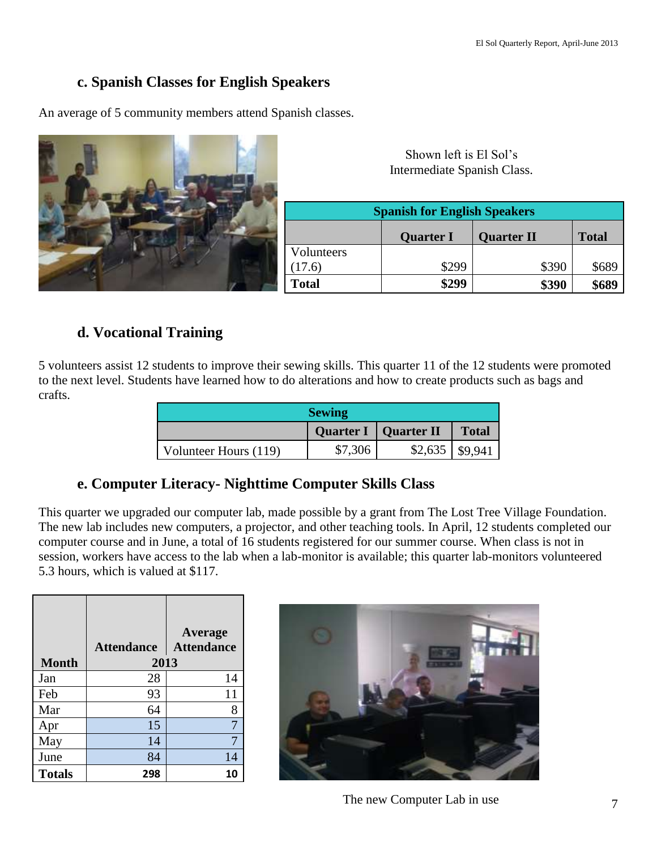### **c. Spanish Classes for English Speakers**

An average of 5 community members attend Spanish classes.



Shown left is El Sol's Intermediate Spanish Class.

| <b>Spanish for English Speakers</b>                   |       |       |       |  |  |
|-------------------------------------------------------|-------|-------|-------|--|--|
| <b>Quarter II</b><br><b>Quarter I</b><br><b>Total</b> |       |       |       |  |  |
| Volunteers                                            |       |       |       |  |  |
| (17.6)                                                | \$299 | \$390 | \$689 |  |  |
| <b>Total</b>                                          | \$299 | \$390 | \$689 |  |  |

### **d. Vocational Training**

5 volunteers assist 12 students to improve their sewing skills. This quarter 11 of the 12 students were promoted to the next level. Students have learned how to do alterations and how to create products such as bags and crafts.

| <b>Sewing</b>         |         |                        |              |  |
|-----------------------|---------|------------------------|--------------|--|
|                       |         | Quarter I   Quarter II | <b>Total</b> |  |
| Volunteer Hours (119) | \$7,306 | $$2,635$   \$9,941     |              |  |

### **e. Computer Literacy- Nighttime Computer Skills Class**

This quarter we upgraded our computer lab, made possible by a grant from The Lost Tree Village Foundation. The new lab includes new computers, a projector, and other teaching tools. In April, 12 students completed our computer course and in June, a total of 16 students registered for our summer course. When class is not in session, workers have access to the lab when a lab-monitor is available; this quarter lab-monitors volunteered 5.3 hours, which is valued at \$117.

|               | <b>Attendance</b> | <b>Average</b><br><b>Attendance</b> |
|---------------|-------------------|-------------------------------------|
| <b>Month</b>  | 2013              |                                     |
| Jan           | 28                | 14                                  |
| Feb           | 93                | 11                                  |
| Mar           | 64                | 8                                   |
| Apr           | 15                | 7                                   |
| May           | 14                | 7                                   |
| June          | 84                | 14                                  |
| <b>Totals</b> | 298               | 10                                  |



The new Computer Lab in use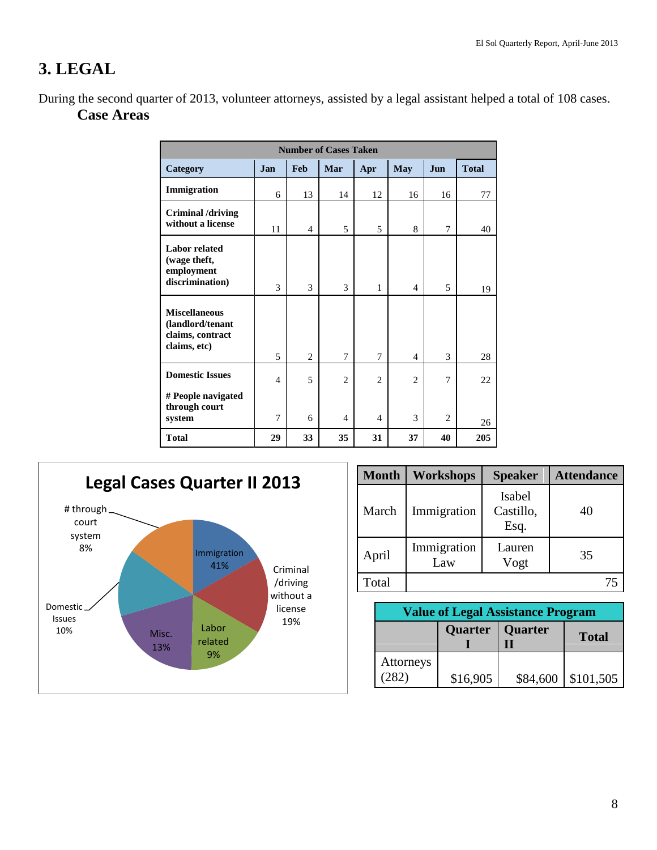# **3. LEGAL**

During the second quarter of 2013, volunteer attorneys, assisted by a legal assistant helped a total of 108 cases. **Case Areas**

| <b>Number of Cases Taken</b>                                                 |                |                |                |                |                |                |              |
|------------------------------------------------------------------------------|----------------|----------------|----------------|----------------|----------------|----------------|--------------|
| Category                                                                     | <b>Jan</b>     | Feb            | Mar            | Apr            | <b>May</b>     | Jun            | <b>Total</b> |
| Immigration                                                                  | 6              | 13             | 14             | 12             | 16             | 16             | 77           |
| Criminal /driving<br>without a license                                       | 11             | $\overline{4}$ | 5              | 5              | 8              | 7              | 40           |
| <b>Labor related</b><br>(wage theft,<br>employment<br>discrimination)        | $\mathcal{R}$  | $\mathcal{R}$  | $\mathcal{R}$  | $\mathbf{1}$   | $\overline{4}$ | 5              | 19           |
| <b>Miscellaneous</b><br>(landlord/tenant<br>claims, contract<br>claims, etc) | 5              | $\overline{2}$ | 7              | 7              | 4              | 3              | 28           |
| <b>Domestic Issues</b><br># People navigated                                 | $\overline{4}$ | 5              | $\overline{2}$ | $\overline{c}$ | $\overline{2}$ | 7              | 22           |
| through court<br>system                                                      | $\overline{7}$ | 6              | $\overline{4}$ | 4              | 3              | $\overline{2}$ | 26           |
| <b>Total</b>                                                                 | 29             | 33             | 35             | 31             | 37             | 40             | 205          |



| <b>Month</b> | Workshops          | <b>Speaker</b>              | <b>Attendance</b> |
|--------------|--------------------|-----------------------------|-------------------|
| March        | Immigration        | Isabel<br>Castillo,<br>Esq. | 40                |
| April        | Immigration<br>Law | Lauren<br>Vogt              | 35                |
| Total        |                    |                             |                   |

| <b>Value of Legal Assistance Program</b> |          |                   |              |  |  |
|------------------------------------------|----------|-------------------|--------------|--|--|
|                                          |          | Quarter   Quarter | <b>Total</b> |  |  |
| Attorneys                                |          |                   |              |  |  |
| (282)                                    | \$16,905 | \$84,600          | \$101,505    |  |  |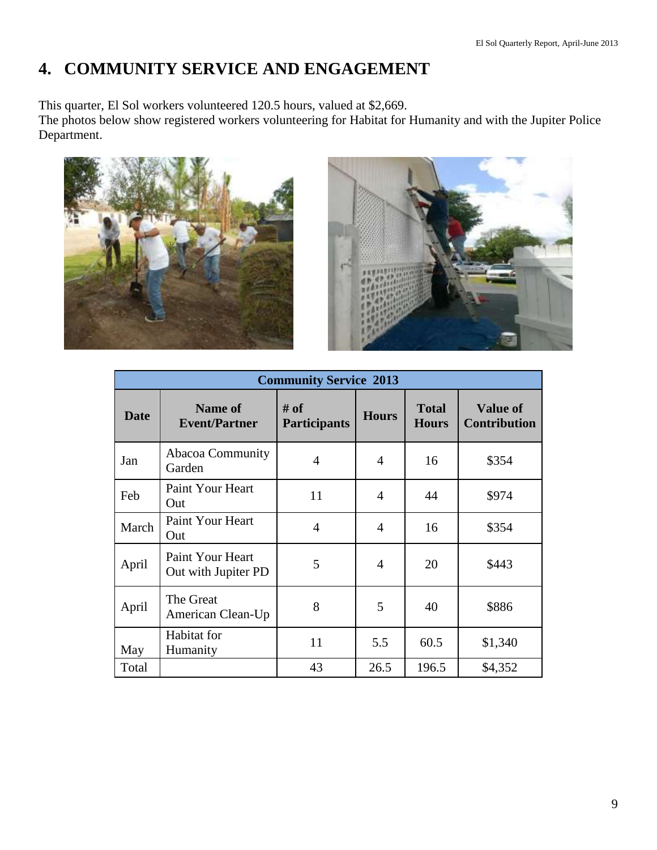## **4. COMMUNITY SERVICE AND ENGAGEMENT**

This quarter, El Sol workers volunteered 120.5 hours, valued at \$2,669.

The photos below show registered workers volunteering for Habitat for Humanity and with the Jupiter Police Department.





| <b>Community Service 2013</b> |                                                |                               |              |                              |                                        |  |
|-------------------------------|------------------------------------------------|-------------------------------|--------------|------------------------------|----------------------------------------|--|
| <b>Date</b>                   | <b>Name of</b><br><b>Event/Partner</b>         | $#$ of<br><b>Participants</b> | <b>Hours</b> | <b>Total</b><br><b>Hours</b> | <b>Value of</b><br><b>Contribution</b> |  |
| Jan                           | Abacoa Community<br>Garden                     | 4                             | 4            | 16                           | \$354                                  |  |
| Feb                           | <b>Paint Your Heart</b><br>Out                 | 11                            | 4            | 44                           | \$974                                  |  |
| March                         | Paint Your Heart<br>Out                        | 4                             | 4            | 16                           | \$354                                  |  |
| April                         | <b>Paint Your Heart</b><br>Out with Jupiter PD | 5                             | 4            | 20                           | \$443                                  |  |
| April                         | The Great<br>American Clean-Up                 | 8                             | 5            | 40                           | \$886                                  |  |
| May                           | Habitat for<br>Humanity                        | 11                            | 5.5          | 60.5                         | \$1,340                                |  |
| Total                         |                                                | 43                            | 26.5         | 196.5                        | \$4,352                                |  |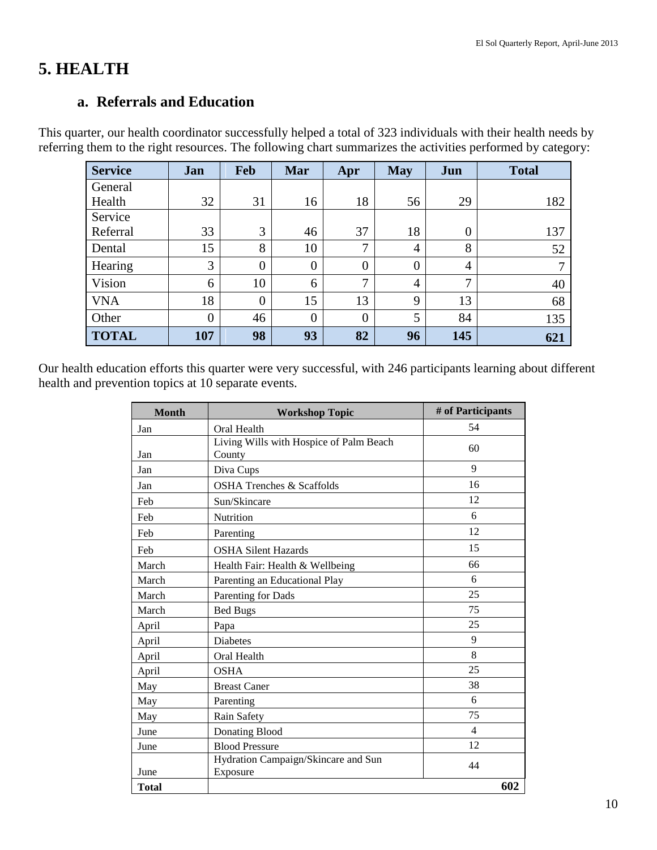## **5. HEALTH**

### **a. Referrals and Education**

This quarter, our health coordinator successfully helped a total of 323 individuals with their health needs by referring them to the right resources. The following chart summarizes the activities performed by category:

| <b>Service</b> | Jan      | <b>Feb</b> | Mar            | Apr            | <b>May</b>     | Jun            | <b>Total</b> |
|----------------|----------|------------|----------------|----------------|----------------|----------------|--------------|
| General        |          |            |                |                |                |                |              |
| Health         | 32       | 31         | 16             | 18             | 56             | 29             | 182          |
| Service        |          |            |                |                |                |                |              |
| Referral       | 33       | 3          | 46             | 37             | 18             | 0              | 137          |
| Dental         | 15       | 8          | 10             | 7              | $\overline{4}$ | 8              | 52           |
| Hearing        | 3        | $\theta$   | $\overline{0}$ | $\theta$       | 0              | $\overline{4}$ | 7            |
| Vision         | 6        | 10         | 6              | $\mathcal{I}$  | 4              | $\mathbf{r}$   | 40           |
| <b>VNA</b>     | 18       | $\theta$   | 15             | 13             | 9              | 13             | 68           |
| Other          | $\theta$ | 46         | $\overline{0}$ | $\overline{0}$ | 5              | 84             | 135          |
| <b>TOTAL</b>   | 107      | 98         | 93             | 82             | 96             | 145            | 621          |

Our health education efforts this quarter were very successful, with 246 participants learning about different health and prevention topics at 10 separate events.

| <b>Month</b> | <b>Workshop Topic</b>                             | # of Participants |
|--------------|---------------------------------------------------|-------------------|
| Jan          | Oral Health                                       | 54                |
| Jan          | Living Wills with Hospice of Palm Beach<br>County | 60                |
| Jan          | Diva Cups                                         | 9                 |
| Jan          | <b>OSHA Trenches &amp; Scaffolds</b>              | 16                |
| Feb          | Sun/Skincare                                      | 12                |
| Feb          | Nutrition                                         | 6                 |
| Feb          | Parenting                                         | 12                |
| Feb          | <b>OSHA Silent Hazards</b>                        | 15                |
| March        | Health Fair: Health & Wellbeing                   | 66                |
| March        | Parenting an Educational Play                     | 6                 |
| March        | Parenting for Dads                                | 25                |
| March        | <b>Bed Bugs</b>                                   | 75                |
| April        | Papa                                              | 25                |
| April        | <b>Diabetes</b>                                   | 9                 |
| April        | Oral Health                                       | 8                 |
| April        | <b>OSHA</b>                                       | 25                |
| May          | <b>Breast Caner</b>                               | 38                |
| May          | Parenting                                         | 6                 |
| May          | Rain Safety                                       | 75                |
| June         | Donating Blood                                    | $\overline{4}$    |
| June         | <b>Blood Pressure</b>                             | 12                |
| June         | Hydration Campaign/Skincare and Sun<br>Exposure   | 44                |
| <b>Total</b> |                                                   | 602               |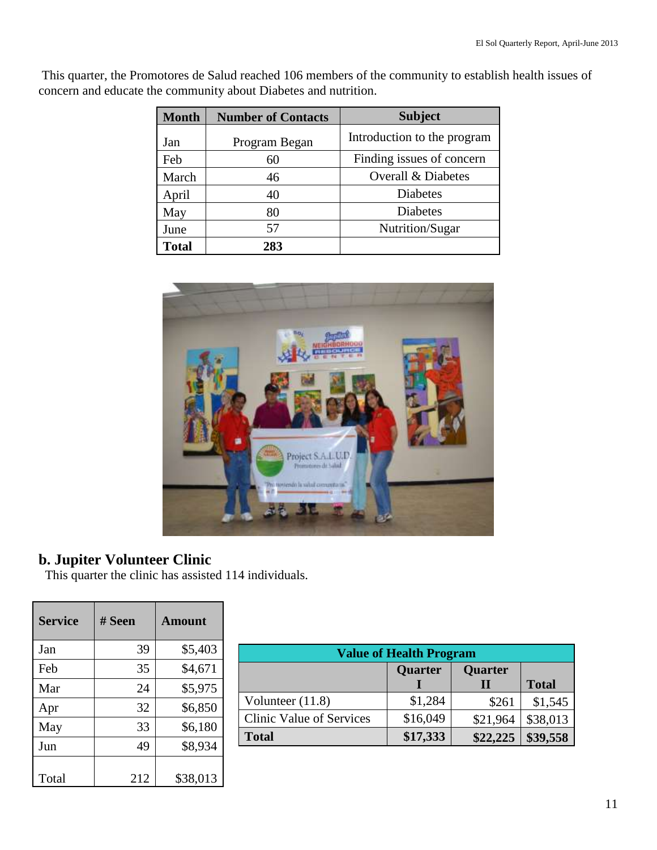| <b>Month</b> | <b>Number of Contacts</b> | <b>Subject</b>              |
|--------------|---------------------------|-----------------------------|
| Jan          | Program Began             | Introduction to the program |
| Feb          | 60                        | Finding issues of concern   |
| March        | 46                        | Overall & Diabetes          |
| April        | 40                        | <b>Diabetes</b>             |
| May          | 80                        | <b>Diabetes</b>             |
| June         | 57                        | Nutrition/Sugar             |
| <b>Total</b> | 283                       |                             |

This quarter, the Promotores de Salud reached 106 members of the community to establish health issues of concern and educate the community about Diabetes and nutrition.



#### **b. Jupiter Volunteer Clinic**

This quarter the clinic has assisted 114 individuals.

| <b>Service</b> | # Seen | Amount   |
|----------------|--------|----------|
| Jan            | 39     | \$5,403  |
| Feb            | 35     | \$4,671  |
| Mar            | 24     | \$5,975  |
| Apr            | 32     | \$6,850  |
| May            | 33     | \$6,180  |
| Jun            | 49     | \$8,934  |
| Total          | 212    | \$38,013 |

| <b>Value of Health Program</b> |                                  |          |              |  |  |  |
|--------------------------------|----------------------------------|----------|--------------|--|--|--|
| Quarter<br>Quarter             |                                  |          |              |  |  |  |
|                                |                                  |          | <b>Total</b> |  |  |  |
| Volunteer $(11.8)$             | \$1,284                          | \$261    | \$1,545      |  |  |  |
| Clinic Value of Services       | \$16,049                         | \$21,964 | \$38,013     |  |  |  |
| <b>Total</b>                   | \$17,333<br>\$22,225<br>\$39,558 |          |              |  |  |  |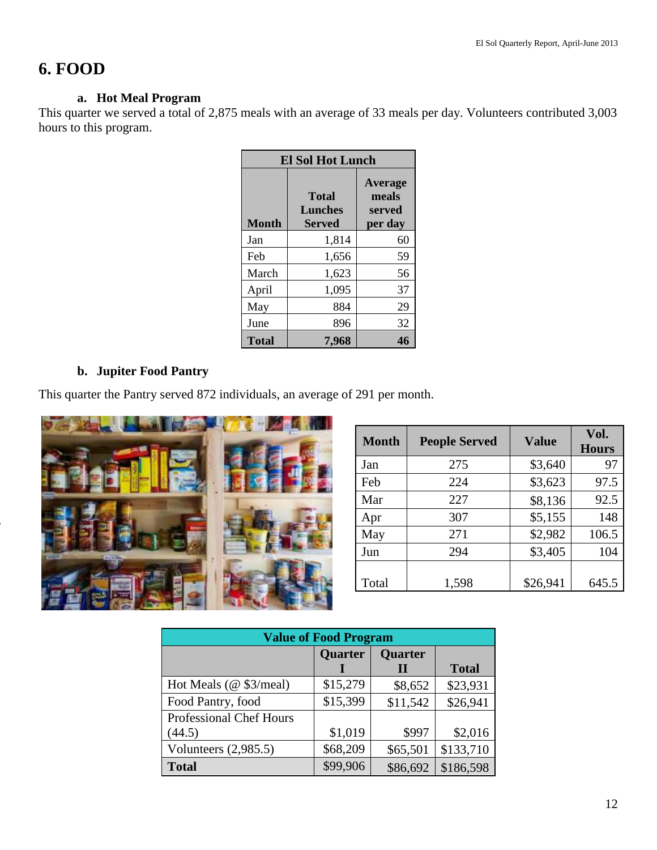## **6. FOOD**

Pictured left: Kitchen volunteers

#### **a. Hot Meal Program**

This quarter we served a total of 2,875 meals with an average of 33 meals per day. Volunteers contributed 3,003 hours to this program.

| <b>El Sol Hot Lunch</b> |                                          |                                              |  |
|-------------------------|------------------------------------------|----------------------------------------------|--|
| <b>Month</b>            | <b>Total</b><br>Lunches<br><b>Served</b> | <b>Average</b><br>meals<br>served<br>per day |  |
| Jan                     | 1,814                                    | 60                                           |  |
| Feb                     | 1,656                                    | 59                                           |  |
| March                   | 1,623                                    | 56                                           |  |
| April                   | 1,095                                    | 37                                           |  |
| May                     | 884                                      | 29                                           |  |
| June                    | 896                                      | 32                                           |  |
| <b>Total</b>            |                                          | 46                                           |  |

#### **b. Jupiter Food Pantry**

This quarter the Pantry served 872 individuals, an average of 291 per month.



| <b>Month</b> | <b>People Served</b> | <b>Value</b> | Vol.<br><b>Hours</b> |
|--------------|----------------------|--------------|----------------------|
| Jan          | 275                  | \$3,640      | 97                   |
| Feb          | 224                  | \$3,623      | 97.5                 |
| Mar          | 227                  | \$8,136      | 92.5                 |
| Apr          | 307                  | \$5,155      | 148                  |
| May          | 271                  | \$2,982      | 106.5                |
| Jun          | 294                  | \$3,405      | 104                  |
| Total        | 1,598                | \$26,941     | 645.5                |

| <b>Value of Food Program</b> |                    |          |              |
|------------------------------|--------------------|----------|--------------|
|                              | Quarter<br>Quarter |          |              |
|                              |                    | Ш        | <b>Total</b> |
| Hot Meals (@ \$3/meal)       | \$15,279           | \$8,652  | \$23,931     |
| Food Pantry, food            | \$15,399           | \$11,542 | \$26,941     |
| Professional Chef Hours      |                    |          |              |
| (44.5)                       | \$1,019            | \$997    | \$2,016      |
| Volunteers $(2,985.5)$       | \$68,209           | \$65,501 | \$133,710    |
| <b>Total</b>                 | \$99,906           | \$86,692 | \$186,598    |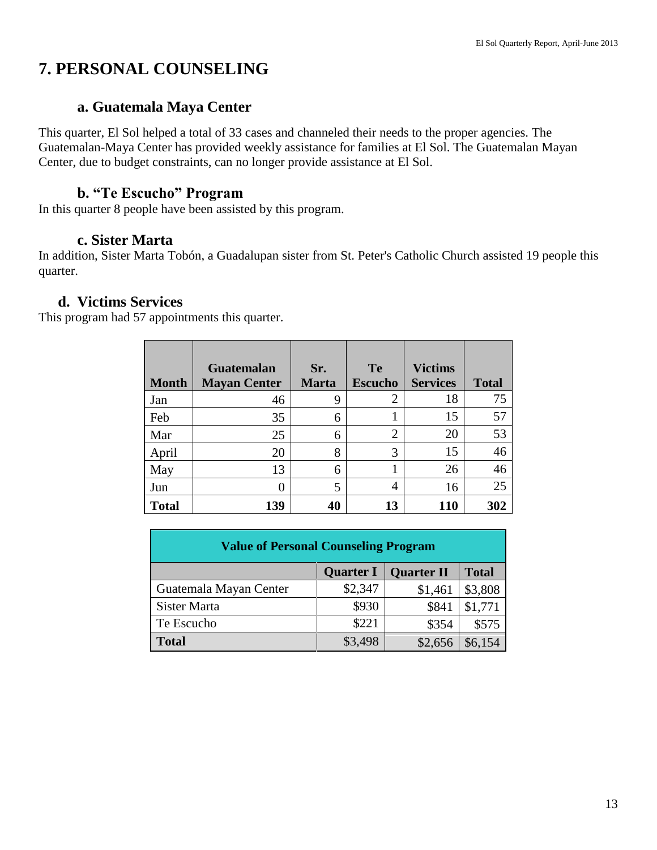## **7. PERSONAL COUNSELING**

#### **a. Guatemala Maya Center**

This quarter, El Sol helped a total of 33 cases and channeled their needs to the proper agencies. The Guatemalan-Maya Center has provided weekly assistance for families at El Sol. The Guatemalan Mayan Center, due to budget constraints, can no longer provide assistance at El Sol.

### **b. "Te Escucho" Program**

In this quarter 8 people have been assisted by this program.

#### **c. Sister Marta**

In addition, Sister Marta Tobón, a Guadalupan sister from St. Peter's Catholic Church assisted 19 people this quarter.

### **d. Victims Services**

This program had 57 appointments this quarter.

| <b>Month</b> | <b>Guatemalan</b><br><b>Mayan Center</b> | Sr.<br><b>Marta</b> | <b>Te</b><br><b>Escucho</b> | <b>Victims</b><br><b>Services</b> | <b>Total</b> |
|--------------|------------------------------------------|---------------------|-----------------------------|-----------------------------------|--------------|
| Jan          | 46                                       | 9                   | 2                           | 18                                | 75           |
| Feb          | 35                                       | 6                   |                             | 15                                | 57           |
| Mar          | 25                                       | 6                   | $\overline{2}$              | 20                                | 53           |
| April        | 20                                       | 8                   | 3                           | 15                                | 46           |
| May          | 13                                       | 6                   |                             | 26                                | 46           |
| Jun          | 0                                        | 5                   | 4                           | 16                                | 25           |
| <b>Total</b> | 139                                      | 40                  | 13                          | <b>110</b>                        | 302          |

| <b>Value of Personal Counseling Program</b> |                  |                   |              |
|---------------------------------------------|------------------|-------------------|--------------|
|                                             | <b>Quarter I</b> | <b>Quarter II</b> | <b>Total</b> |
| Guatemala Mayan Center                      | \$2,347          | \$1,461           | \$3,808      |
| Sister Marta                                | \$930            | \$841             | \$1,771      |
| Te Escucho                                  | \$221            | \$354             | \$575        |
| <b>Total</b>                                | \$3,498          | \$2,656           | \$6,154      |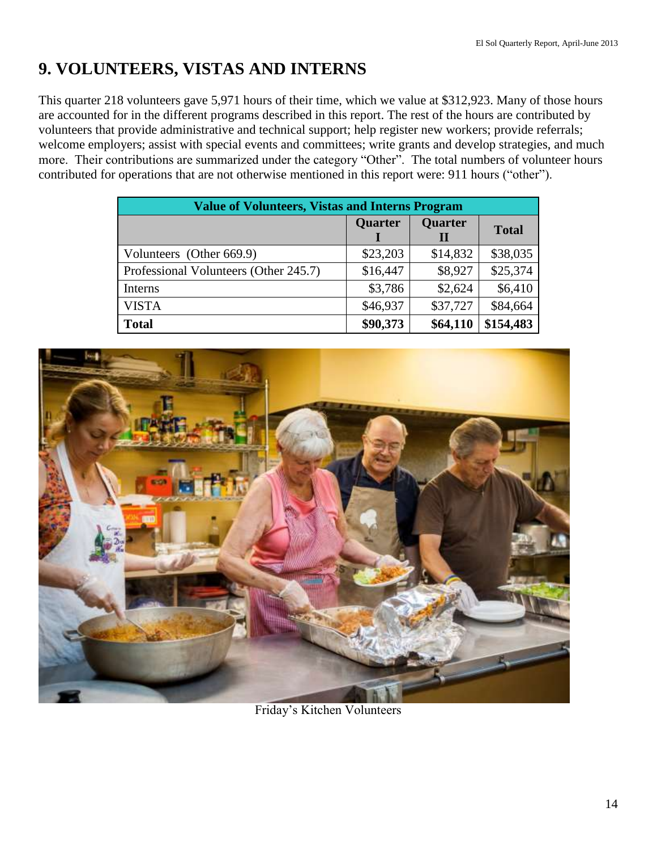## **9. VOLUNTEERS, VISTAS AND INTERNS**

This quarter 218 volunteers gave 5,971 hours of their time, which we value at \$312,923. Many of those hours are accounted for in the different programs described in this report. The rest of the hours are contributed by volunteers that provide administrative and technical support; help register new workers; provide referrals; welcome employers; assist with special events and committees; write grants and develop strategies, and much more. Their contributions are summarized under the category "Other". The total numbers of volunteer hours contributed for operations that are not otherwise mentioned in this report were: 911 hours ("other").

| <b>Value of Volunteers, Vistas and Interns Program</b> |          |                     |              |  |
|--------------------------------------------------------|----------|---------------------|--------------|--|
|                                                        | Quarter  | <b>Quarter</b><br>Ш | <b>Total</b> |  |
| Volunteers (Other 669.9)                               | \$23,203 | \$14,832            | \$38,035     |  |
| Professional Volunteers (Other 245.7)                  | \$16,447 | \$8,927             | \$25,374     |  |
| Interns                                                | \$3,786  | \$2,624             | \$6,410      |  |
| <b>VISTA</b>                                           | \$46,937 | \$37,727            | \$84,664     |  |
| <b>Total</b>                                           | \$90,373 | \$64,110            | \$154,483    |  |



Friday's Kitchen Volunteers